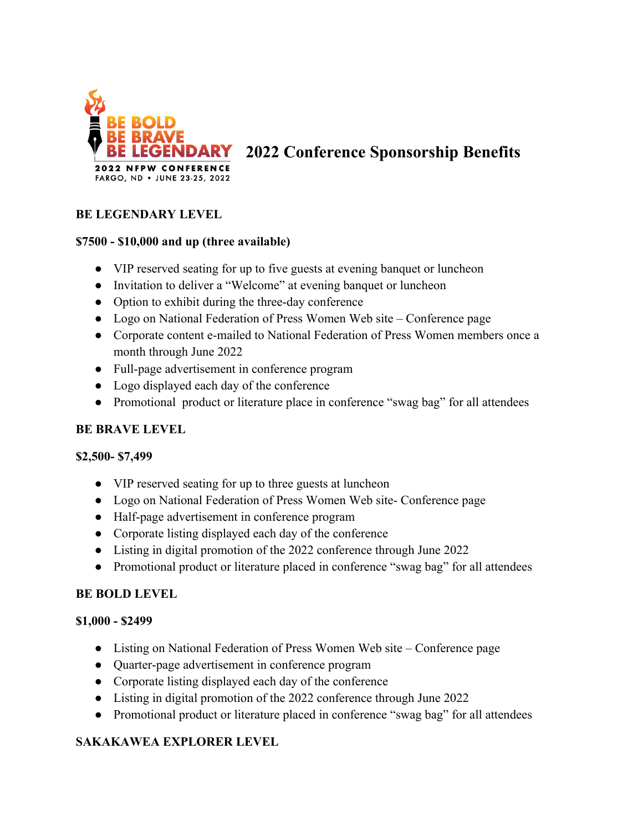

# **2022 Conference Sponsorship Benefits**

# **BE LEGENDARY LEVEL**

## **\$7500 - \$10,000 and up (three available)**

- VIP reserved seating for up to five guests at evening banquet or luncheon
- Invitation to deliver a "Welcome" at evening banquet or luncheon
- Option to exhibit during the three-day conference
- Logo on National Federation of Press Women Web site Conference page
- Corporate content e-mailed to National Federation of Press Women members once a month through June 2022
- Full-page advertisement in conference program
- Logo displayed each day of the conference
- Promotional product or literature place in conference "swag bag" for all attendees

#### **BE BRAVE LEVEL**

#### **\$2,500- \$7,499**

- VIP reserved seating for up to three guests at luncheon
- Logo on National Federation of Press Women Web site- Conference page
- Half-page advertisement in conference program
- Corporate listing displayed each day of the conference
- Listing in digital promotion of the 2022 conference through June 2022
- Promotional product or literature placed in conference "swag bag" for all attendees

#### **BE BOLD LEVEL**

#### **\$1,000 - \$2499**

- Listing on National Federation of Press Women Web site Conference page
- Quarter-page advertisement in conference program
- Corporate listing displayed each day of the conference
- Listing in digital promotion of the 2022 conference through June 2022
- Promotional product or literature placed in conference "swag bag" for all attendees

# **SAKAKAWEA EXPLORER LEVEL**